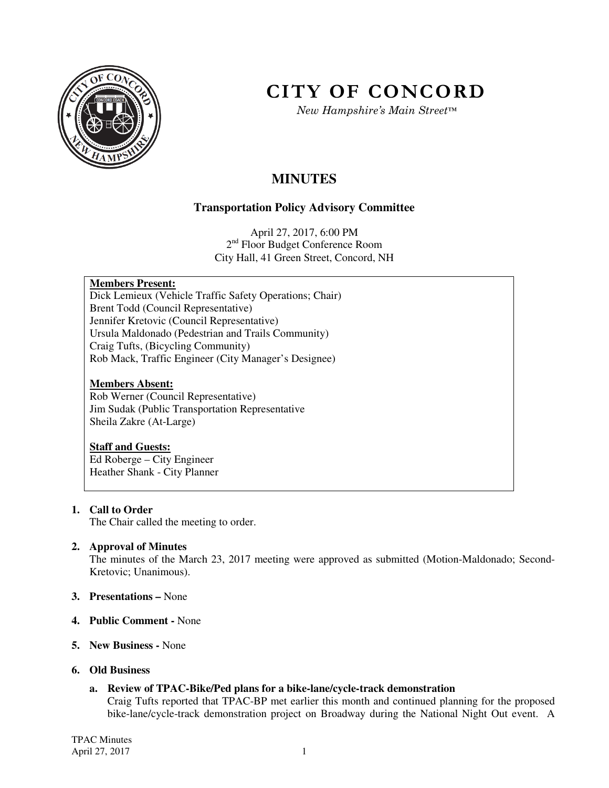

# **CITY OF CONCORD**

*New Hampshire's Main Street™*

## **MINUTES**

### **Transportation Policy Advisory Committee**

April 27, 2017, 6:00 PM 2<sup>nd</sup> Floor Budget Conference Room City Hall, 41 Green Street, Concord, NH

#### **Members Present:**

Dick Lemieux (Vehicle Traffic Safety Operations; Chair) Brent Todd (Council Representative) Jennifer Kretovic (Council Representative) Ursula Maldonado (Pedestrian and Trails Community) Craig Tufts, (Bicycling Community) Rob Mack, Traffic Engineer (City Manager's Designee)

#### **Members Absent:**

Rob Werner (Council Representative) Jim Sudak (Public Transportation Representative Sheila Zakre (At-Large)

#### **Staff and Guests:**

Ed Roberge – City Engineer Heather Shank - City Planner

#### **1. Call to Order**

The Chair called the meeting to order.

#### **2. Approval of Minutes**

The minutes of the March 23, 2017 meeting were approved as submitted (Motion-Maldonado; Second-Kretovic; Unanimous).

- **3. Presentations** None
- **4. Public Comment** None
- **5. New Business** None
- **6. Old Business** 
	- **a. Review of TPAC-Bike/Ped plans for a bike-lane/cycle-track demonstration**

Craig Tufts reported that TPAC-BP met earlier this month and continued planning for the proposed bike-lane/cycle-track demonstration project on Broadway during the National Night Out event. A

TPAC Minutes April 27, 2017 1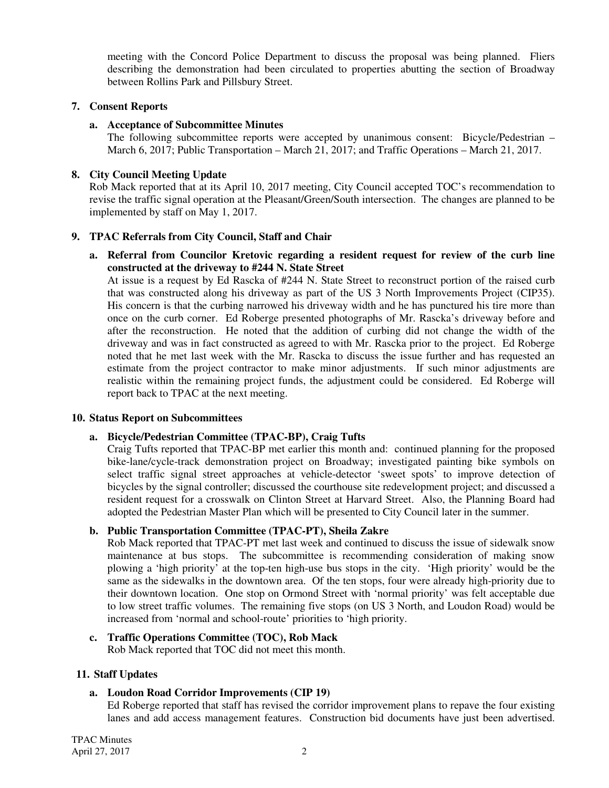meeting with the Concord Police Department to discuss the proposal was being planned. Fliers describing the demonstration had been circulated to properties abutting the section of Broadway between Rollins Park and Pillsbury Street.

#### **7. Consent Reports**

#### **a. Acceptance of Subcommittee Minutes**

The following subcommittee reports were accepted by unanimous consent: Bicycle/Pedestrian – March 6, 2017; Public Transportation – March 21, 2017; and Traffic Operations – March 21, 2017.

#### **8. City Council Meeting Update**

Rob Mack reported that at its April 10, 2017 meeting, City Council accepted TOC's recommendation to revise the traffic signal operation at the Pleasant/Green/South intersection. The changes are planned to be implemented by staff on May 1, 2017.

#### **9. TPAC Referrals from City Council, Staff and Chair**

**a. Referral from Councilor Kretovic regarding a resident request for review of the curb line constructed at the driveway to #244 N. State Street**

At issue is a request by Ed Rascka of #244 N. State Street to reconstruct portion of the raised curb that was constructed along his driveway as part of the US 3 North Improvements Project (CIP35). His concern is that the curbing narrowed his driveway width and he has punctured his tire more than once on the curb corner. Ed Roberge presented photographs of Mr. Rascka's driveway before and after the reconstruction. He noted that the addition of curbing did not change the width of the driveway and was in fact constructed as agreed to with Mr. Rascka prior to the project. Ed Roberge noted that he met last week with the Mr. Rascka to discuss the issue further and has requested an estimate from the project contractor to make minor adjustments. If such minor adjustments are realistic within the remaining project funds, the adjustment could be considered. Ed Roberge will report back to TPAC at the next meeting.

#### **10. Status Report on Subcommittees**

#### **a. Bicycle/Pedestrian Committee (TPAC-BP), Craig Tufts**

Craig Tufts reported that TPAC-BP met earlier this month and: continued planning for the proposed bike-lane/cycle-track demonstration project on Broadway; investigated painting bike symbols on select traffic signal street approaches at vehicle-detector 'sweet spots' to improve detection of bicycles by the signal controller; discussed the courthouse site redevelopment project; and discussed a resident request for a crosswalk on Clinton Street at Harvard Street. Also, the Planning Board had adopted the Pedestrian Master Plan which will be presented to City Council later in the summer.

#### **b. Public Transportation Committee (TPAC-PT), Sheila Zakre**

Rob Mack reported that TPAC-PT met last week and continued to discuss the issue of sidewalk snow maintenance at bus stops. The subcommittee is recommending consideration of making snow plowing a 'high priority' at the top-ten high-use bus stops in the city. 'High priority' would be the same as the sidewalks in the downtown area. Of the ten stops, four were already high-priority due to their downtown location. One stop on Ormond Street with 'normal priority' was felt acceptable due to low street traffic volumes. The remaining five stops (on US 3 North, and Loudon Road) would be increased from 'normal and school-route' priorities to 'high priority.

### **c. Traffic Operations Committee (TOC), Rob Mack**

Rob Mack reported that TOC did not meet this month.

#### **11. Staff Updates**

#### **a. Loudon Road Corridor Improvements (CIP 19)**

Ed Roberge reported that staff has revised the corridor improvement plans to repave the four existing lanes and add access management features. Construction bid documents have just been advertised.